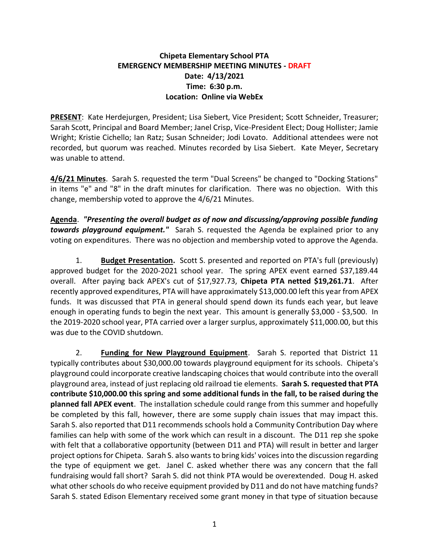## **Chipeta Elementary School PTA EMERGENCY MEMBERSHIP MEETING MINUTES - DRAFT Date: 4/13/2021 Time: 6:30 p.m. Location: Online via WebEx**

**PRESENT**: Kate Herdejurgen, President; Lisa Siebert, Vice President; Scott Schneider, Treasurer; Sarah Scott, Principal and Board Member; Janel Crisp, Vice-President Elect; Doug Hollister; Jamie Wright; Kristie Cichello; Ian Ratz; Susan Schneider; Jodi Lovato. Additional attendees were not recorded, but quorum was reached. Minutes recorded by Lisa Siebert. Kate Meyer, Secretary was unable to attend.

**4/6/21 Minutes**. Sarah S. requested the term "Dual Screens" be changed to "Docking Stations" in items "e" and "8" in the draft minutes for clarification. There was no objection. With this change, membership voted to approve the 4/6/21 Minutes.

**Agenda**. *"Presenting the overall budget as of now and discussing/approving possible funding towards playground equipment."* Sarah S. requested the Agenda be explained prior to any voting on expenditures. There was no objection and membership voted to approve the Agenda.

1. **Budget Presentation.** Scott S. presented and reported on PTA's full (previously) approved budget for the 2020-2021 school year. The spring APEX event earned \$37,189.44 overall. After paying back APEX's cut of \$17,927.73, **Chipeta PTA netted \$19,261.71**. After recently approved expenditures, PTA will have approximately \$13,000.00 left this year from APEX funds. It was discussed that PTA in general should spend down its funds each year, but leave enough in operating funds to begin the next year. This amount is generally \$3,000 - \$3,500. In the 2019-2020 school year, PTA carried over a larger surplus, approximately \$11,000.00, but this was due to the COVID shutdown.

2. **Funding for New Playground Equipment**. Sarah S. reported that District 11 typically contributes about \$30,000.00 towards playground equipment for its schools. Chipeta's playground could incorporate creative landscaping choices that would contribute into the overall playground area, instead of just replacing old railroad tie elements. **Sarah S. requested that PTA contribute \$10,000.00 this spring and some additional funds in the fall, to be raised during the planned fall APEX event**. The installation schedule could range from this summer and hopefully be completed by this fall, however, there are some supply chain issues that may impact this. Sarah S. also reported that D11 recommends schools hold a Community Contribution Day where families can help with some of the work which can result in a discount. The D11 rep she spoke with felt that a collaborative opportunity (between D11 and PTA) will result in better and larger project options for Chipeta. Sarah S. also wants to bring kids' voices into the discussion regarding the type of equipment we get. Janel C. asked whether there was any concern that the fall fundraising would fall short? Sarah S. did not think PTA would be overextended. Doug H. asked what other schools do who receive equipment provided by D11 and do not have matching funds? Sarah S. stated Edison Elementary received some grant money in that type of situation because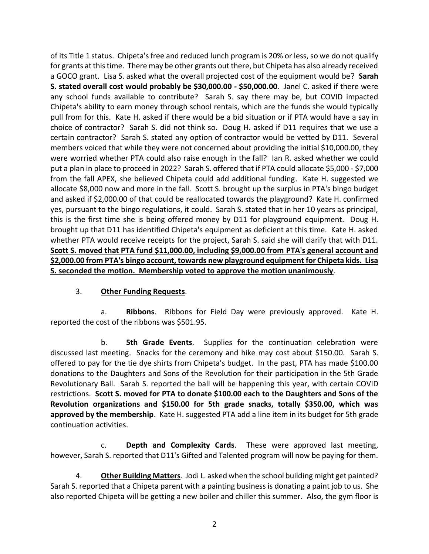of its Title 1 status. Chipeta's free and reduced lunch program is 20% or less, so we do not qualify for grants at this time. There may be other grants out there, but Chipeta has also already received a GOCO grant. Lisa S. asked what the overall projected cost of the equipment would be? **Sarah S. stated overall cost would probably be \$30,000.00 - \$50,000.00**. Janel C. asked if there were any school funds available to contribute? Sarah S. say there may be, but COVID impacted Chipeta's ability to earn money through school rentals, which are the funds she would typically pull from for this. Kate H. asked if there would be a bid situation or if PTA would have a say in choice of contractor? Sarah S. did not think so. Doug H. asked if D11 requires that we use a certain contractor? Sarah S. stated any option of contractor would be vetted by D11. Several members voiced that while they were not concerned about providing the initial \$10,000.00, they were worried whether PTA could also raise enough in the fall? Ian R. asked whether we could put a plan in place to proceed in 2022? Sarah S. offered that if PTA could allocate \$5,000 - \$7,000 from the fall APEX, she believed Chipeta could add additional funding. Kate H. suggested we allocate \$8,000 now and more in the fall. Scott S. brought up the surplus in PTA's bingo budget and asked if \$2,000.00 of that could be reallocated towards the playground? Kate H. confirmed yes, pursuant to the bingo regulations, it could. Sarah S. stated that in her 10 years as principal, this is the first time she is being offered money by D11 for playground equipment. Doug H. brought up that D11 has identified Chipeta's equipment as deficient at this time. Kate H. asked whether PTA would receive receipts for the project, Sarah S. said she will clarify that with D11. **Scott S. moved that PTA fund \$11,000.00, including \$9,000.00 from PTA's general account and \$2,000.00 from PTA's bingo account, towards new playground equipment for Chipeta kids. Lisa S. seconded the motion. Membership voted to approve the motion unanimously**.

## 3. **Other Funding Requests**.

a. **Ribbons**. Ribbons for Field Day were previously approved. Kate H. reported the cost of the ribbons was \$501.95.

b. **5th Grade Events**. Supplies for the continuation celebration were discussed last meeting. Snacks for the ceremony and hike may cost about \$150.00. Sarah S. offered to pay for the tie dye shirts from Chipeta's budget. In the past, PTA has made \$100.00 donations to the Daughters and Sons of the Revolution for their participation in the 5th Grade Revolutionary Ball. Sarah S. reported the ball will be happening this year, with certain COVID restrictions. **Scott S. moved for PTA to donate \$100.00 each to the Daughters and Sons of the Revolution organizations and \$150.00 for 5th grade snacks, totally \$350.00, which was approved by the membership**. Kate H. suggested PTA add a line item in its budget for 5th grade continuation activities.

c. **Depth and Complexity Cards**. These were approved last meeting, however, Sarah S. reported that D11's Gifted and Talented program will now be paying for them.

4. **Other Building Matters**. Jodi L. asked when the school building might get painted? Sarah S. reported that a Chipeta parent with a painting business is donating a paint job to us. She also reported Chipeta will be getting a new boiler and chiller this summer. Also, the gym floor is